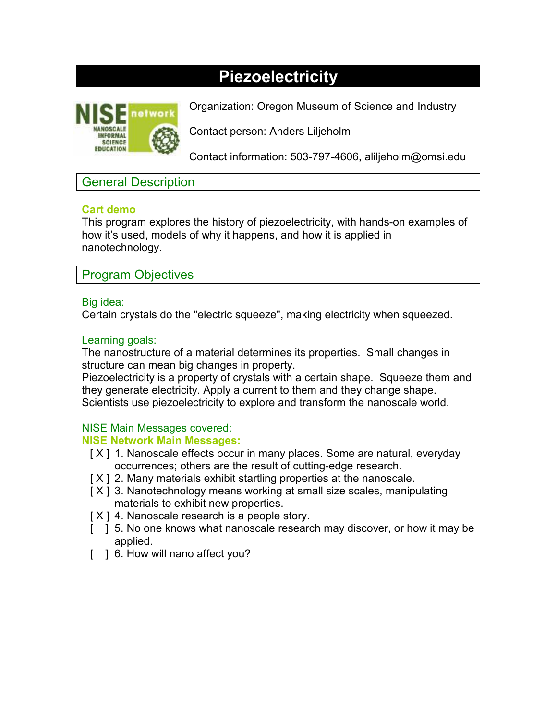# **Piezoelectricity**



Organization: Oregon Museum of Science and Industry

Contact person: Anders Liljeholm

Contact information: 503-797-4606, aliljeholm@omsi.edu

## General Description

## **Cart demo**

This program explores the history of piezoelectricity, with hands-on examples of how it's used, models of why it happens, and how it is applied in nanotechnology.

## Program Objectives

#### Big idea:

Certain crystals do the "electric squeeze", making electricity when squeezed.

## Learning goals:

The nanostructure of a material determines its properties. Small changes in structure can mean big changes in property.

Piezoelectricity is a property of crystals with a certain shape. Squeeze them and they generate electricity. Apply a current to them and they change shape. Scientists use piezoelectricity to explore and transform the nanoscale world.

## NISE Main Messages covered:

#### **NISE Network Main Messages:**

- [ $X$ ] 1. Nanoscale effects occur in many places. Some are natural, everyday occurrences; others are the result of cutting-edge research.
- [X] 2. Many materials exhibit startling properties at the nanoscale.
- [ $X$ ] 3. Nanotechnology means working at small size scales, manipulating materials to exhibit new properties.
- [ $X$ ] 4. Nanoscale research is a people story.
- [ ] 5. No one knows what nanoscale research may discover, or how it may be applied.
- [ ] 6. How will nano affect you?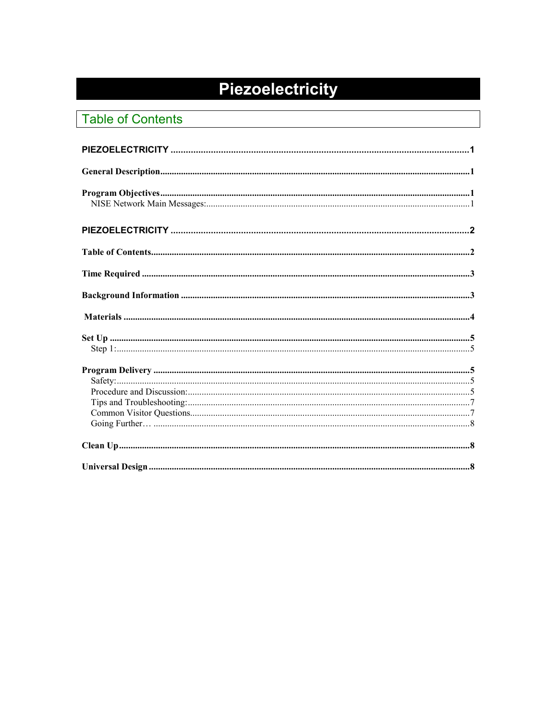# Piezoelectricity

## **Table of Contents**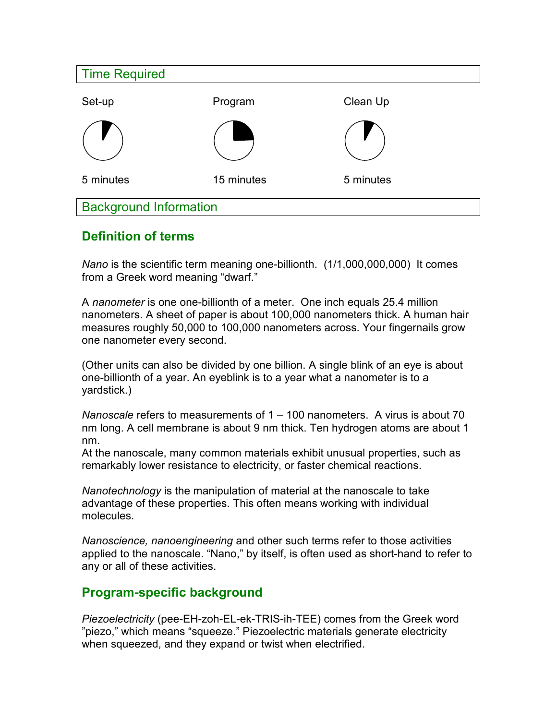| <b>Time Required</b>          |            |           |  |  |
|-------------------------------|------------|-----------|--|--|
| Set-up                        | Program    | Clean Up  |  |  |
|                               |            |           |  |  |
| 5 minutes                     | 15 minutes | 5 minutes |  |  |
| <b>Background Information</b> |            |           |  |  |

## **Definition of terms**

*Nano* is the scientific term meaning one-billionth. (1/1,000,000,000) It comes from a Greek word meaning "dwarf."

A *nanometer* is one one-billionth of a meter. One inch equals 25.4 million nanometers. A sheet of paper is about 100,000 nanometers thick. A human hair measures roughly 50,000 to 100,000 nanometers across. Your fingernails grow one nanometer every second.

(Other units can also be divided by one billion. A single blink of an eye is about one-billionth of a year. An eyeblink is to a year what a nanometer is to a yardstick.)

*Nanoscale* refers to measurements of 1 – 100 nanometers. A virus is about 70 nm long. A cell membrane is about 9 nm thick. Ten hydrogen atoms are about 1 nm.

At the nanoscale, many common materials exhibit unusual properties, such as remarkably lower resistance to electricity, or faster chemical reactions.

*Nanotechnology* is the manipulation of material at the nanoscale to take advantage of these properties. This often means working with individual molecules.

*Nanoscience, nanoengineering* and other such terms refer to those activities applied to the nanoscale. "Nano," by itself, is often used as short-hand to refer to any or all of these activities.

## **Program-specific background**

*Piezoelectricity* (pee-EH-zoh-EL-ek-TRIS-ih-TEE) comes from the Greek word "piezo," which means "squeeze." Piezoelectric materials generate electricity when squeezed, and they expand or twist when electrified.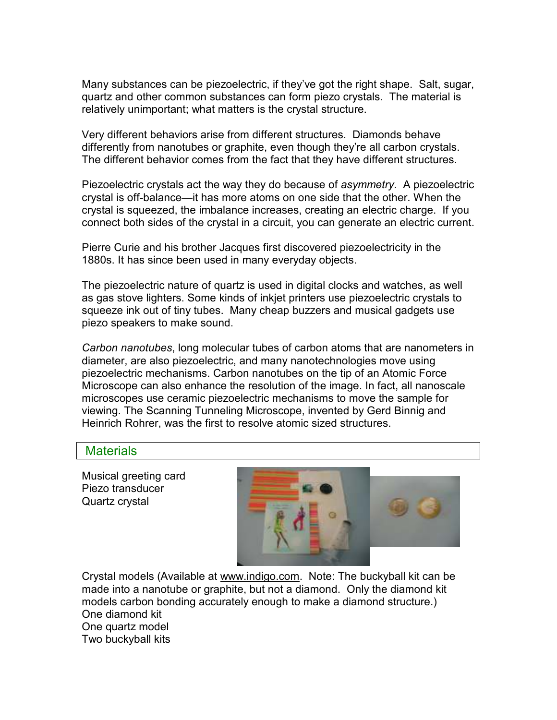Many substances can be piezoelectric, if they've got the right shape. Salt, sugar, quartz and other common substances can form piezo crystals. The material is relatively unimportant; what matters is the crystal structure.

Very different behaviors arise from different structures. Diamonds behave differently from nanotubes or graphite, even though they're all carbon crystals. The different behavior comes from the fact that they have different structures.

Piezoelectric crystals act the way they do because of *asymmetry*. A piezoelectric crystal is off-balance—it has more atoms on one side that the other. When the crystal is squeezed, the imbalance increases, creating an electric charge. If you connect both sides of the crystal in a circuit, you can generate an electric current.

Pierre Curie and his brother Jacques first discovered piezoelectricity in the 1880s. It has since been used in many everyday objects.

The piezoelectric nature of quartz is used in digital clocks and watches, as well as gas stove lighters. Some kinds of inkjet printers use piezoelectric crystals to squeeze ink out of tiny tubes. Many cheap buzzers and musical gadgets use piezo speakers to make sound.

*Carbon nanotubes*, long molecular tubes of carbon atoms that are nanometers in diameter, are also piezoelectric, and many nanotechnologies move using piezoelectric mechanisms. Carbon nanotubes on the tip of an Atomic Force Microscope can also enhance the resolution of the image. In fact, all nanoscale microscopes use ceramic piezoelectric mechanisms to move the sample for viewing. The Scanning Tunneling Microscope, invented by Gerd Binnig and Heinrich Rohrer, was the first to resolve atomic sized structures.

## **Materials**

Musical greeting card Piezo transducer Quartz crystal



Crystal models (Available at www.indigo.com. Note: The buckyball kit can be made into a nanotube or graphite, but not a diamond. Only the diamond kit models carbon bonding accurately enough to make a diamond structure.) One diamond kit One quartz model Two buckyball kits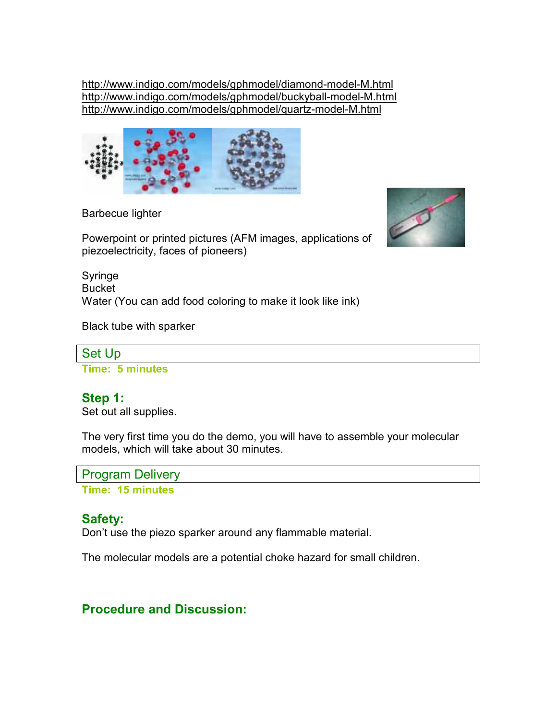http://www.indigo.com/models/gphmodel/diamond-model-M.html http://www.indigo.com/models/gphmodel/buckyball-model-M.html http://www.indigo.com/models/gphmodel/quartz-model-M.html



Barbecue lighter



Powerpoint or printed pictures (AFM images, applications of piezoelectricity, faces of pioneers)

Syringe Bucket Water (You can add food coloring to make it look like ink)

Black tube with sparker



**Time: 5 minutes** 

## **Step 1:**

Set out all supplies.

The very first time you do the demo, you will have to assemble your molecular models, which will take about 30 minutes.

Program Delivery

**Time: 15 minutes** 

## **Safety:**

Don't use the piezo sparker around any flammable material.

The molecular models are a potential choke hazard for small children.

## **Procedure and Discussion:**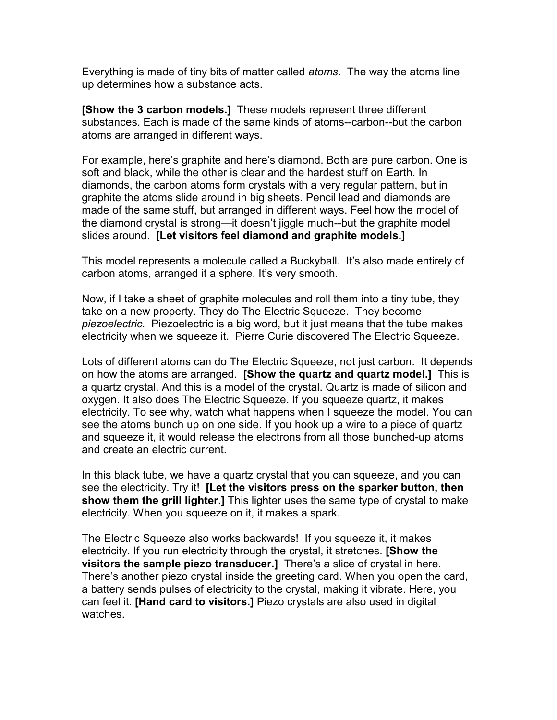Everything is made of tiny bits of matter called *atoms*. The way the atoms line up determines how a substance acts.

**[Show the 3 carbon models.]**These models represent three different substances. Each is made of the same kinds of atoms--carbon--but the carbon atoms are arranged in different ways.

For example, here's graphite and here's diamond. Both are pure carbon. One is soft and black, while the other is clear and the hardest stuff on Earth. In diamonds, the carbon atoms form crystals with a very regular pattern, but in graphite the atoms slide around in big sheets. Pencil lead and diamonds are made of the same stuff, but arranged in different ways. Feel how the model of the diamond crystal is strong—it doesn't jiggle much--but the graphite model slides around. **[Let visitors feel diamond and graphite models.]** 

This model represents a molecule called a Buckyball. It's also made entirely of carbon atoms, arranged it a sphere. It's very smooth.

Now, if I take a sheet of graphite molecules and roll them into a tiny tube, they take on a new property. They do The Electric Squeeze. They become *piezoelectric.* Piezoelectric is a big word, but it just means that the tube makes electricity when we squeeze it. Pierre Curie discovered The Electric Squeeze.

Lots of different atoms can do The Electric Squeeze, not just carbon. It depends on how the atoms are arranged. **[Show the quartz and quartz model.]** This is a quartz crystal. And this is a model of the crystal. Quartz is made of silicon and oxygen. It also does The Electric Squeeze. If you squeeze quartz, it makes electricity. To see why, watch what happens when I squeeze the model. You can see the atoms bunch up on one side. If you hook up a wire to a piece of quartz and squeeze it, it would release the electrons from all those bunched-up atoms and create an electric current.

In this black tube, we have a quartz crystal that you can squeeze, and you can see the electricity. Try it! **[Let the visitors press on the sparker button, then show them the grill lighter.]** This lighter uses the same type of crystal to make electricity. When you squeeze on it, it makes a spark.

The Electric Squeeze also works backwards! If you squeeze it, it makes electricity. If you run electricity through the crystal, it stretches. **[Show the visitors the sample piezo transducer.]** There's a slice of crystal in here. There's another piezo crystal inside the greeting card. When you open the card, a battery sends pulses of electricity to the crystal, making it vibrate. Here, you can feel it. **[Hand card to visitors.]** Piezo crystals are also used in digital watches.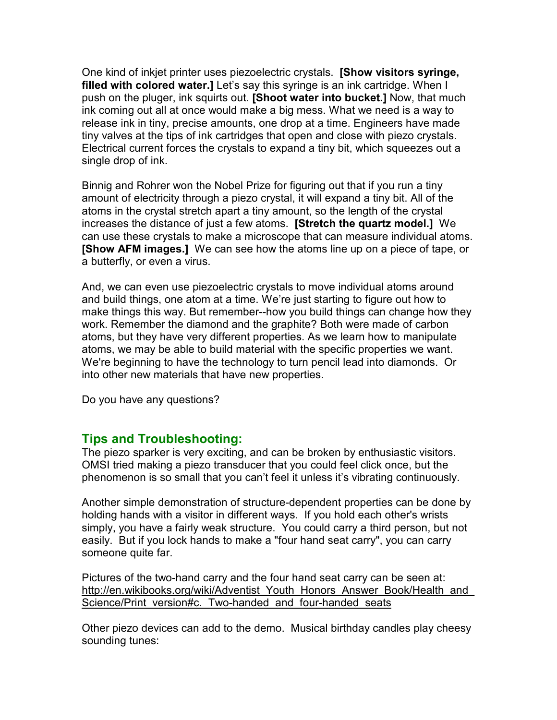One kind of inkjet printer uses piezoelectric crystals. **[Show visitors syringe, filled with colored water.]** Let's say this syringe is an ink cartridge. When I push on the pluger, ink squirts out. **[Shoot water into bucket.]** Now, that much ink coming out all at once would make a big mess. What we need is a way to release ink in tiny, precise amounts, one drop at a time. Engineers have made tiny valves at the tips of ink cartridges that open and close with piezo crystals. Electrical current forces the crystals to expand a tiny bit, which squeezes out a single drop of ink.

Binnig and Rohrer won the Nobel Prize for figuring out that if you run a tiny amount of electricity through a piezo crystal, it will expand a tiny bit. All of the atoms in the crystal stretch apart a tiny amount, so the length of the crystal increases the distance of just a few atoms. **[Stretch the quartz model.]** We can use these crystals to make a microscope that can measure individual atoms. **[Show AFM images.]** We can see how the atoms line up on a piece of tape, or a butterfly, or even a virus.

And, we can even use piezoelectric crystals to move individual atoms around and build things, one atom at a time. We're just starting to figure out how to make things this way. But remember--how you build things can change how they work. Remember the diamond and the graphite? Both were made of carbon atoms, but they have very different properties. As we learn how to manipulate atoms, we may be able to build material with the specific properties we want. We're beginning to have the technology to turn pencil lead into diamonds. Or into other new materials that have new properties.

Do you have any questions?

## **Tips and Troubleshooting:**

The piezo sparker is very exciting, and can be broken by enthusiastic visitors. OMSI tried making a piezo transducer that you could feel click once, but the phenomenon is so small that you can't feel it unless it's vibrating continuously.

Another simple demonstration of structure-dependent properties can be done by holding hands with a visitor in different ways. If you hold each other's wrists simply, you have a fairly weak structure. You could carry a third person, but not easily. But if you lock hands to make a "four hand seat carry", you can carry someone quite far.

Pictures of the two-hand carry and the four hand seat carry can be seen at: http://en.wikibooks.org/wiki/Adventist\_Youth\_Honors\_Answer\_Book/Health\_and Science/Print\_version#c. Two-handed and four-handed seats

Other piezo devices can add to the demo. Musical birthday candles play cheesy sounding tunes: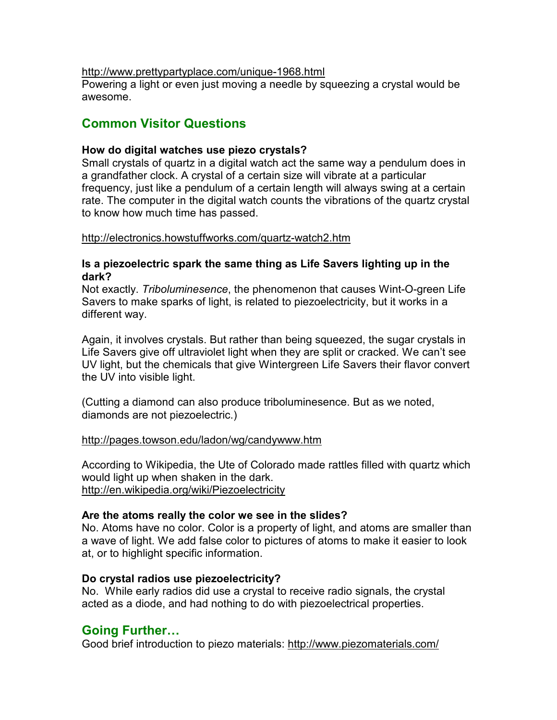#### http://www.prettypartyplace.com/unique-1968.html

Powering a light or even just moving a needle by squeezing a crystal would be awesome.

## **Common Visitor Questions**

#### **How do digital watches use piezo crystals?**

Small crystals of quartz in a digital watch act the same way a pendulum does in a grandfather clock. A crystal of a certain size will vibrate at a particular frequency, just like a pendulum of a certain length will always swing at a certain rate. The computer in the digital watch counts the vibrations of the quartz crystal to know how much time has passed.

#### http://electronics.howstuffworks.com/quartz-watch2.htm

#### **Is a piezoelectric spark the same thing as Life Savers lighting up in the dark?**

Not exactly. *Triboluminesence*, the phenomenon that causes Wint-O-green Life Savers to make sparks of light, is related to piezoelectricity, but it works in a different way.

Again, it involves crystals. But rather than being squeezed, the sugar crystals in Life Savers give off ultraviolet light when they are split or cracked. We can't see UV light, but the chemicals that give Wintergreen Life Savers their flavor convert the UV into visible light.

(Cutting a diamond can also produce triboluminesence. But as we noted, diamonds are not piezoelectric.)

http://pages.towson.edu/ladon/wg/candywww.htm

According to Wikipedia, the Ute of Colorado made rattles filled with quartz which would light up when shaken in the dark. http://en.wikipedia.org/wiki/Piezoelectricity

#### **Are the atoms really the color we see in the slides?**

No. Atoms have no color. Color is a property of light, and atoms are smaller than a wave of light. We add false color to pictures of atoms to make it easier to look at, or to highlight specific information.

#### **Do crystal radios use piezoelectricity?**

No. While early radios did use a crystal to receive radio signals, the crystal acted as a diode, and had nothing to do with piezoelectrical properties.

## **Going Further…**

Good brief introduction to piezo materials: http://www.piezomaterials.com/